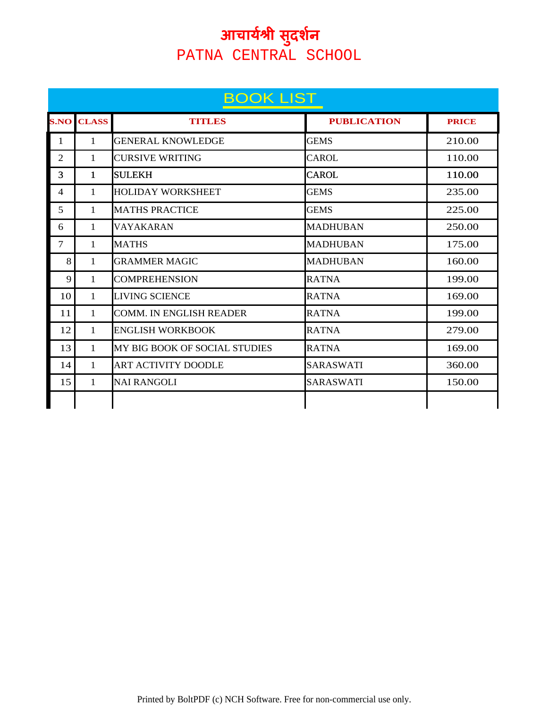|                | <b>BOOK LIST</b> |                                      |                    |              |  |
|----------------|------------------|--------------------------------------|--------------------|--------------|--|
| <b>S.NO</b>    | <b>CLASS</b>     | <b>TITLES</b>                        | <b>PUBLICATION</b> | <b>PRICE</b> |  |
| $\mathbf{1}$   | 1                | <b>GENERAL KNOWLEDGE</b>             | <b>GEMS</b>        | 210.00       |  |
| $\overline{2}$ | 1                | <b>CURSIVE WRITING</b>               | <b>CAROL</b>       | 110.00       |  |
| 3              | 1                | <b>SULEKH</b>                        | <b>CAROL</b>       | 110.00       |  |
| 4              | 1                | <b>HOLIDAY WORKSHEET</b>             | <b>GEMS</b>        | 235.00       |  |
| 5              | 1                | <b>MATHS PRACTICE</b>                | <b>GEMS</b>        | 225.00       |  |
| 6              | 1                | VAYAKARAN                            | <b>MADHUBAN</b>    | 250.00       |  |
| $\overline{7}$ | $\mathbf{1}$     | <b>MATHS</b>                         | <b>MADHUBAN</b>    | 175.00       |  |
| 8              | 1                | <b>GRAMMER MAGIC</b>                 | <b>MADHUBAN</b>    | 160.00       |  |
| 9              | $\mathbf{1}$     | <b>COMPREHENSION</b>                 | <b>RATNA</b>       | 199.00       |  |
| 10             | 1                | <b>LIVING SCIENCE</b>                | <b>RATNA</b>       | 169.00       |  |
| 11             | 1                | <b>COMM. IN ENGLISH READER</b>       | <b>RATNA</b>       | 199.00       |  |
| 12             | 1                | <b>ENGLISH WORKBOOK</b>              | <b>RATNA</b>       | 279.00       |  |
| 13             | 1                | <b>MY BIG BOOK OF SOCIAL STUDIES</b> | <b>RATNA</b>       | 169.00       |  |
| 14             | 1                | <b>ART ACTIVITY DOODLE</b>           | <b>SARASWATI</b>   | 360.00       |  |
| 15             | 1                | <b>NAI RANGOLI</b>                   | <b>SARASWATI</b>   | 150.00       |  |
|                |                  |                                      |                    |              |  |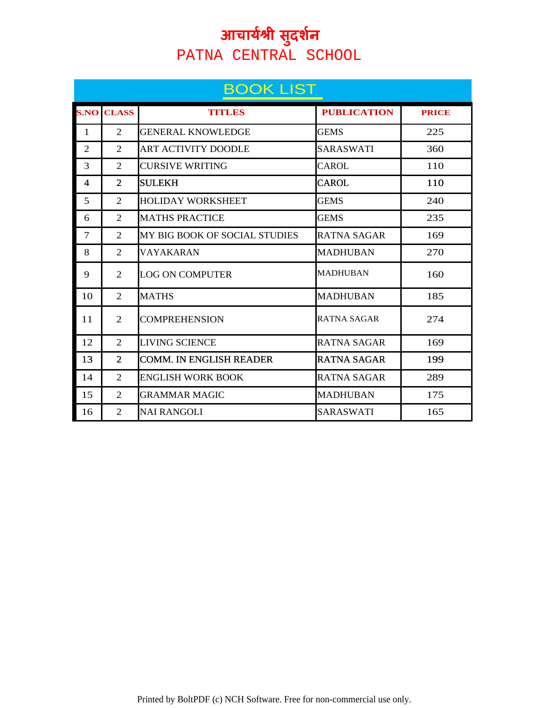|                          | <b>BOOK LIST</b> |                               |                    |              |  |  |
|--------------------------|------------------|-------------------------------|--------------------|--------------|--|--|
| <b>S.NO</b>              | <b>CLASS</b>     | <b>TITLES</b>                 | <b>PUBLICATION</b> | <b>PRICE</b> |  |  |
| $\mathbf{1}$             | 2                | <b>GENERAL KNOWLEDGE</b>      | <b>GEMS</b>        | 225          |  |  |
| $\overline{2}$           | 2                | <b>ART ACTIVITY DOODLE</b>    | <b>SARASWATI</b>   | 360          |  |  |
| 3                        | $\overline{2}$   | <b>CURSIVE WRITING</b>        | <b>CAROL</b>       | 110          |  |  |
| $\overline{\mathcal{A}}$ | 2                | <b>SULEKH</b>                 | <b>CAROL</b>       | 110          |  |  |
| 5                        | 2                | <b>HOLIDAY WORKSHEET</b>      | <b>GEMS</b>        | 240          |  |  |
| 6                        | 2                | <b>MATHS PRACTICE</b>         | <b>GEMS</b>        | 235          |  |  |
| 7                        | 2                | MY BIG BOOK OF SOCIAL STUDIES | <b>RATNA SAGAR</b> | 169          |  |  |
| 8                        | 2                | VAYAKARAN                     | <b>MADHUBAN</b>    | 270          |  |  |
| 9                        | 2                | <b>LOG ON COMPUTER</b>        | <b>MADHUBAN</b>    | 160          |  |  |
| 10                       | $\mathfrak{D}$   | <b>MATHS</b>                  | <b>MADHUBAN</b>    | 185          |  |  |
| 11                       | 2                | <b>COMPREHENSION</b>          | RATNA SAGAR        | 274          |  |  |
| 12                       | 2                | <b>LIVING SCIENCE</b>         | <b>RATNA SAGAR</b> | 169          |  |  |
| 13                       | 2                | COMM. IN ENGLISH READER       | RATNA SAGAR        | 199          |  |  |
| 14                       | 2                | <b>ENGLISH WORK BOOK</b>      | RATNA SAGAR        | 289          |  |  |
| 15                       | 2                | <b>GRAMMAR MAGIC</b>          | <b>MADHUBAN</b>    | 175          |  |  |
| 16                       | 2                | <b>NAI RANGOLI</b>            | <b>SARASWATI</b>   | 165          |  |  |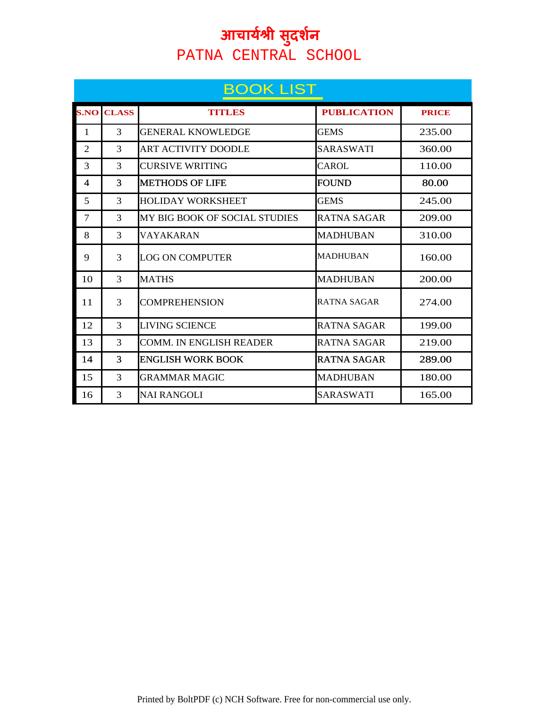|                          | <b>BOOK LIST</b> |                               |                    |              |  |  |
|--------------------------|------------------|-------------------------------|--------------------|--------------|--|--|
| <b>S.NO</b>              | <b>CLASS</b>     | <b>TITLES</b>                 | <b>PUBLICATION</b> | <b>PRICE</b> |  |  |
| $\mathbf{1}$             | 3                | <b>GENERAL KNOWLEDGE</b>      | <b>GEMS</b>        | 235.00       |  |  |
| $\overline{2}$           | 3                | <b>ART ACTIVITY DOODLE</b>    | SARASWATI          | 360.00       |  |  |
| 3                        | 3                | CURSIVE WRITING               | CAROL.             | 110.00       |  |  |
| $\overline{\mathcal{A}}$ | 3                | <b>METHODS OF LIFE</b>        | FOUND              | 80.00        |  |  |
| 5                        | 3                | <b>HOLIDAY WORKSHEET</b>      | <b>GEMS</b>        | 245.00       |  |  |
| 7                        | 3                | MY BIG BOOK OF SOCIAL STUDIES | RATNA SAGAR        | 209.00       |  |  |
| 8                        | 3                | VAYAKARAN                     | <b>MADHUBAN</b>    | 310.00       |  |  |
| 9                        | 3                | <b>LOG ON COMPUTER</b>        | <b>MADHUBAN</b>    | 160.00       |  |  |
| 10                       | 3                | <b>MATHS</b>                  | <b>MADHUBAN</b>    | 200.00       |  |  |
| 11                       | 3                | <b>COMPREHENSION</b>          | RATNA SAGAR        | 274.00       |  |  |
| 12                       | 3                | LIVING SCIENCE                | RATNA SAGAR        | 199.00       |  |  |
| 13                       | 3                | COMM. IN ENGLISH READER       | RATNA SAGAR        | 219.00       |  |  |
| 14                       | 3                | <b>ENGLISH WORK BOOK</b>      | RATNA SAGAR        | 289.00       |  |  |
| 15                       | 3                | <b>GRAMMAR MAGIC</b>          | <b>MADHUBAN</b>    | 180.00       |  |  |
| 16                       | 3                | <b>NAI RANGOLI</b>            | SARASWATI          | 165.00       |  |  |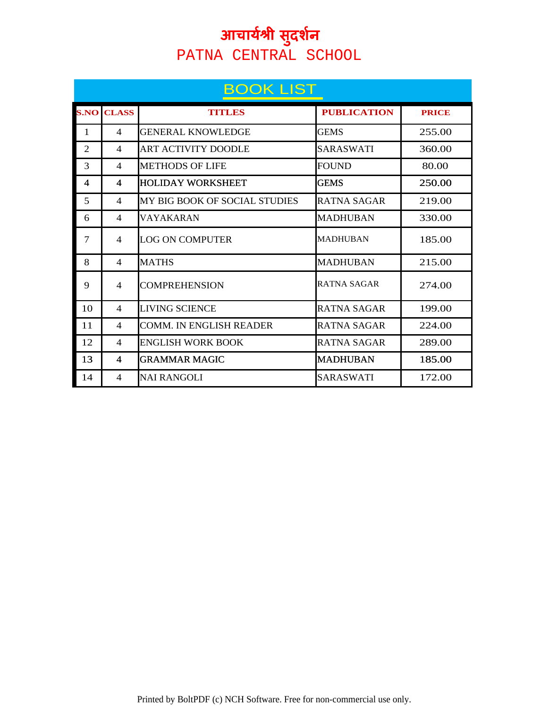|                | <b>BOOK LIST</b>        |                                |                    |              |  |  |
|----------------|-------------------------|--------------------------------|--------------------|--------------|--|--|
| <b>S.NO</b>    | <b>CLASS</b>            | <b>TITLES</b>                  | <b>PUBLICATION</b> | <b>PRICE</b> |  |  |
| 1              | 4                       | <b>GENERAL KNOWLEDGE</b>       | <b>GEMS</b>        | 255.00       |  |  |
| 2              | 4                       | <b>ART ACTIVITY DOODLE</b>     | SARASWATI          | 360.00       |  |  |
| 3              | 4                       | <b>METHODS OF LIFE</b>         | <b>FOUND</b>       | 80.00        |  |  |
| $\overline{4}$ | 4                       | <b>HOLIDAY WORKSHEET</b>       | GEMS               | 250.00       |  |  |
| 5              | $\overline{4}$          | MY BIG BOOK OF SOCIAL STUDIES  | RATNA SAGAR        | 219.00       |  |  |
| 6              | $\overline{4}$          | <b>VAYAKARAN</b>               | MADHUBAN           | 330.00       |  |  |
| 7              | 4                       | <b>LOG ON COMPUTER</b>         | <b>MADHUBAN</b>    | 185.00       |  |  |
| 8              | 4                       | <b>MATHS</b>                   | <b>MADHUBAN</b>    | 215.00       |  |  |
| 9              | 4                       | <b>COMPREHENSION</b>           | RATNA SAGAR        | 274.00       |  |  |
| 10             | 4                       | <b>LIVING SCIENCE</b>          | RATNA SAGAR        | 199.00       |  |  |
| 11             | $\overline{4}$          | <b>COMM. IN ENGLISH READER</b> | RATNA SAGAR        | 224.00       |  |  |
| 12             | 4                       | ENGLISH WORK BOOK              | <b>RATNA SAGAR</b> | 289.00       |  |  |
| 13             | $\overline{\mathbf{4}}$ | <b>GRAMMAR MAGIC</b>           | <b>MADHUBAN</b>    | 185.00       |  |  |
| 14             | 4                       | <b>NAI RANGOLI</b>             | SARASWATI          | 172.00       |  |  |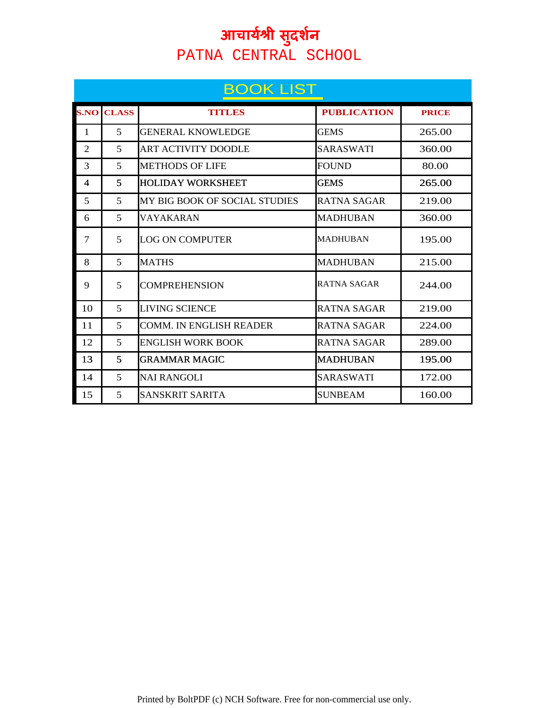|              | <b>BOOK LIST</b>         |                                |                    |              |  |  |
|--------------|--------------------------|--------------------------------|--------------------|--------------|--|--|
| <b>S.NO</b>  | <b>CLASS</b>             | <b>TITLES</b>                  | <b>PUBLICATION</b> | <b>PRICE</b> |  |  |
| $\mathbf{1}$ | 5                        | <b>GENERAL KNOWLEDGE</b>       | <b>GEMS</b>        | 265.00       |  |  |
| 2            | 5                        | <b>ART ACTIVITY DOODLE</b>     | SARASWATI          | 360.00       |  |  |
| 3            | 5                        | <b>METHODS OF LIFE</b>         | <b>FOUND</b>       | 80.00        |  |  |
| 4            | 5                        | <b>HOLIDAY WORKSHEET</b>       | GEMS               | 265.00       |  |  |
| 5            | $\overline{\phantom{1}}$ | MY BIG BOOK OF SOCIAL STUDIES  | RATNA SAGAR        | 219.00       |  |  |
| 6            | 5                        | <b>VAYAKARAN</b>               | <b>MADHUBAN</b>    | 360.00       |  |  |
| 7            | 5                        | LOG ON COMPUTER                | MADHUBAN           | 195.00       |  |  |
| 8            | 5                        | <b>MATHS</b>                   | <b>MADHUBAN</b>    | 215.00       |  |  |
| 9            | 5                        | <b>COMPREHENSION</b>           | RATNA SAGAR        | 244.00       |  |  |
| 10           | 5                        | <b>LIVING SCIENCE</b>          | RATNA SAGAR        | 219.00       |  |  |
| 11           | 5                        | <b>COMM. IN ENGLISH READER</b> | RATNA SAGAR        | 224.00       |  |  |
| 12           | 5                        | <b>ENGLISH WORK BOOK</b>       | RATNA SAGAR        | 289.00       |  |  |
| 13           | 5                        | <b>GRAMMAR MAGIC</b>           | MADHUBAN           | 195.00       |  |  |
| 14           | 5                        | NAI RANGOLI                    | SARASWATI          | 172.00       |  |  |
| 15           | 5                        | SANSKRIT SARITA                | <b>SUNBEAM</b>     | 160.00       |  |  |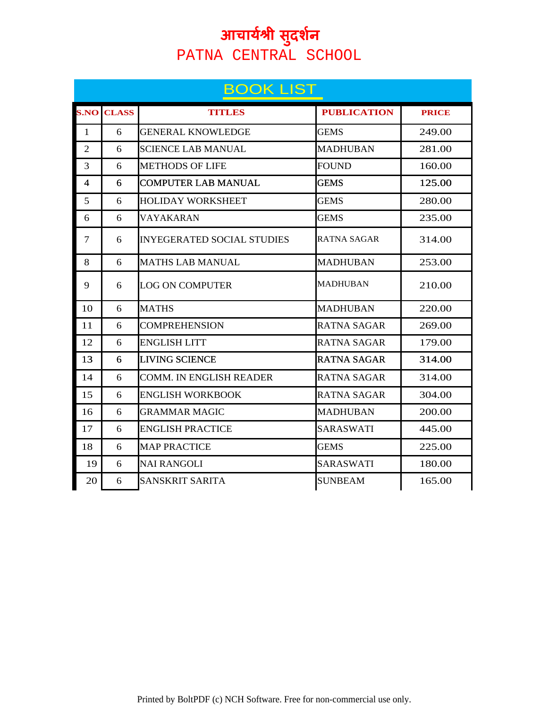|                | <b>BOOK LIST</b> |                                   |                    |              |  |  |
|----------------|------------------|-----------------------------------|--------------------|--------------|--|--|
| <b>S.NO</b>    | <b>CLASS</b>     | TITULES                           | <b>PUBLICATION</b> | <b>PRICE</b> |  |  |
| $\mathbf{1}$   | 6                | <b>GENERAL KNOWLEDGE</b>          | <b>GEMS</b>        | 249.00       |  |  |
| $\overline{2}$ | 6                | <b>SCIENCE LAB MANUAL</b>         | <b>MADHUBAN</b>    | 281.00       |  |  |
| 3              | 6                | <b>METHODS OF LIFE</b>            | <b>FOUND</b>       | 160.00       |  |  |
| $\overline{4}$ | 6                | <b>COMPUTER LAB MANUAL</b>        | <b>GEMS</b>        | 125.00       |  |  |
| 5              | 6                | <b>HOLIDAY WORKSHEET</b>          | <b>GEMS</b>        | 280.00       |  |  |
| 6              | 6                | VAYAKARAN                         | <b>GEMS</b>        | 235.00       |  |  |
| 7              | 6                | <b>INYEGERATED SOCIAL STUDIES</b> | RATNA SAGAR        | 314.00       |  |  |
| 8              | 6                | <b>MATHS LAB MANUAL</b>           | <b>MADHUBAN</b>    | 253.00       |  |  |
| 9              | 6                | <b>LOG ON COMPUTER</b>            | MADHUBAN           | 210.00       |  |  |
| 10             | 6                | <b>MATHS</b>                      | <b>MADHUBAN</b>    | 220.00       |  |  |
| 11             | 6                | <b>COMPREHENSION</b>              | RATNA SAGAR        | 269.00       |  |  |
| 12             | 6                | <b>ENGLISH LITT</b>               | RATNA SAGAR        | 179.00       |  |  |
| 13             | 6                | <b>LIVING SCIENCE</b>             | <b>RATNA SAGAR</b> | 314.00       |  |  |
| 14             | 6                | <b>COMM. IN ENGLISH READER</b>    | <b>RATNA SAGAR</b> | 314.00       |  |  |
| 15             | 6                | <b>ENGLISH WORKBOOK</b>           | <b>RATNA SAGAR</b> | 304.00       |  |  |
| 16             | 6                | <b>GRAMMAR MAGIC</b>              | <b>MADHUBAN</b>    | 200.00       |  |  |
| 17             | 6                | <b>ENGLISH PRACTICE</b>           | <b>SARASWATI</b>   | 445.00       |  |  |
| 18             | 6                | <b>MAP PRACTICE</b>               | GEMS               | 225.00       |  |  |
| 19             | 6                | <b>NAI RANGOLI</b>                | <b>SARASWATI</b>   | 180.00       |  |  |
| 20             | 6                | SANSKRIT SARITA                   | <b>SUNBEAM</b>     | 165.00       |  |  |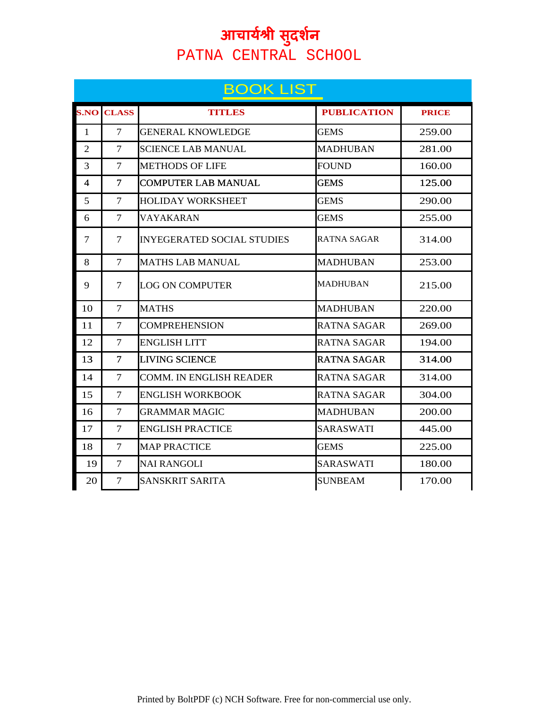|                | <b>BOOK LIST</b> |                                   |                    |              |  |
|----------------|------------------|-----------------------------------|--------------------|--------------|--|
| <b>S.NO</b>    | <b>CLASS</b>     | TITLES                            | <b>PUBLICATION</b> | <b>PRICE</b> |  |
| $\mathbf{1}$   | 7                | <b>GENERAL KNOWLEDGE</b>          | <b>GEMS</b>        | 259.00       |  |
| $\overline{2}$ | 7                | <b>SCIENCE LAB MANUAL</b>         | <b>MADHUBAN</b>    | 281.00       |  |
| 3              | 7                | <b>METHODS OF LIFE</b>            | <b>FOUND</b>       | 160.00       |  |
| 4              | 7                | <b>COMPUTER LAB MANUAL</b>        | GEMS               | 125.00       |  |
| 5              | 7                | <b>HOLIDAY WORKSHEET</b>          | <b>GEMS</b>        | 290.00       |  |
| 6              | 7                | VAYAKARAN                         | <b>GEMS</b>        | 255.00       |  |
| 7              | 7                | <b>INYEGERATED SOCIAL STUDIES</b> | RATNA SAGAR        | 314.00       |  |
| 8              | 7                | <b>MATHS LAB MANUAL</b>           | <b>MADHUBAN</b>    | 253.00       |  |
| 9              | 7                | <b>LOG ON COMPUTER</b>            | MADHUBAN           | 215.00       |  |
| 10             | 7                | <b>MATHS</b>                      | <b>MADHUBAN</b>    | 220.00       |  |
| 11             | 7                | <b>COMPREHENSION</b>              | RATNA SAGAR        | 269.00       |  |
| 12             | 7                | <b>ENGLISH LITT</b>               | <b>RATNA SAGAR</b> | 194.00       |  |
| 13             | 7                | <b>LIVING SCIENCE</b>             | <b>RATNA SAGAR</b> | 314.00       |  |
| 14             | 7                | <b>COMM. IN ENGLISH READER</b>    | <b>RATNA SAGAR</b> | 314.00       |  |
| 15             | 7                | <b>ENGLISH WORKBOOK</b>           | RATNA SAGAR        | 304.00       |  |
| 16             | 7                | <b>GRAMMAR MAGIC</b>              | <b>MADHUBAN</b>    | 200.00       |  |
| 17             | $\tau$           | <b>ENGLISH PRACTICE</b>           | <b>SARASWATI</b>   | 445.00       |  |
| 18             | 7                | <b>MAP PRACTICE</b>               | <b>GEMS</b>        | 225.00       |  |
| 19             | 7                | <b>NAI RANGOLI</b>                | <b>SARASWATI</b>   | 180.00       |  |
| 20             | 7                | SANSKRIT SARITA                   | <b>SUNBEAM</b>     | 170.00       |  |